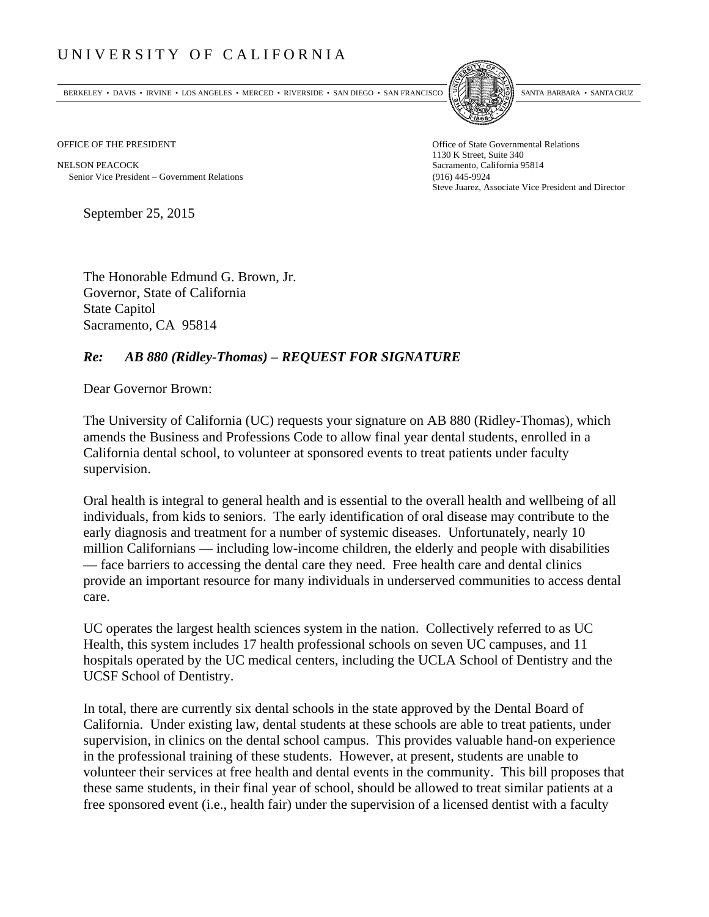## UNIVERSITY OF CALIFORNIA

BERKELEY • DAVIS • IRVINE • LOS ANGELES • MERCED • RIVERSIDE • SAN DIEGO • SAN FRANCISCO SANTA BARBARA • SANTA CRUZ



OFFICE OF THE PRESIDENT STATES OF THE PRESIDENT

NELSON PEACOCK Sacramento, California 95814 Senior Vice President Government Relations (916) 445-9924

1130 K Street, Suite 340 Steve Juarez, Associate Vice President and Director

September 25, 2015

The Honorable Edmund G. Brown, Jr. Governor, State of California State Capitol Sacramento, CA 95814

## *Re: AB 880 (Ridley-Thomas) – REQUEST FOR SIGNATURE*

Dear Governor Brown:

The University of California (UC) requests your signature on AB 880 (Ridley-Thomas), which amends the Business and Professions Code to allow final year dental students, enrolled in a California dental school, to volunteer at sponsored events to treat patients under faculty supervision.

Oral health is integral to general health and is essential to the overall health and wellbeing of all individuals, from kids to seniors. The early identification of oral disease may contribute to the early diagnosis and treatment for a number of systemic diseases. Unfortunately, nearly 10 million Californians — including low-income children, the elderly and people with disabilities — face barriers to accessing the dental care they need. Free health care and dental clinics provide an important resource for many individuals in underserved communities to access dental care.

UC operates the largest health sciences system in the nation. Collectively referred to as UC Health, this system includes 17 health professional schools on seven UC campuses, and 11 hospitals operated by the UC medical centers, including the UCLA School of Dentistry and the UCSF School of Dentistry.

In total, there are currently six dental schools in the state approved by the Dental Board of California. Under existing law, dental students at these schools are able to treat patients, under supervision, in clinics on the dental school campus. This provides valuable hand-on experience in the professional training of these students. However, at present, students are unable to volunteer their services at free health and dental events in the community. This bill proposes that these same students, in their final year of school, should be allowed to treat similar patients at a free sponsored event (i.e., health fair) under the supervision of a licensed dentist with a faculty